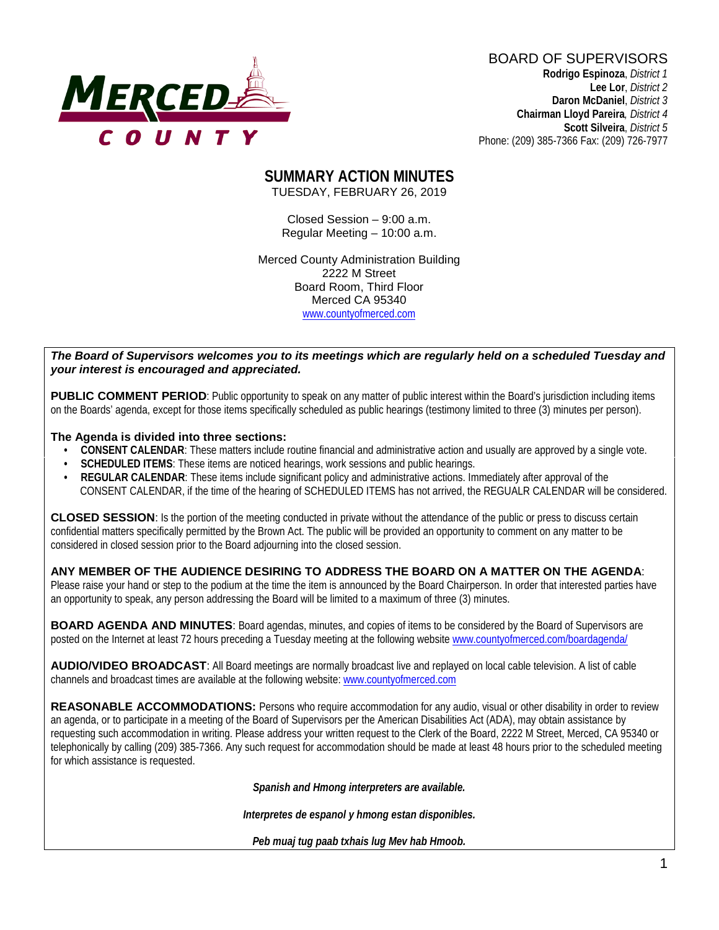

BOARD OF SUPERVISORS **Rodrigo Espinoza**, *District 1*  **Lee Lor**, *District 2*

 **Daron McDaniel**, *District 3* **Chairman Lloyd Pareira***, District 4*  **Scott Silveira**, *District 5* Phone: (209) 385-7366 Fax: (209) 726-7977

#### **SUMMARY ACTION MINUTES** TUESDAY, FEBRUARY 26, 2019

Closed Session – 9:00 a.m. Regular Meeting – 10:00 a.m.

Merced County Administration Building 2222 M Street Board Room, Third Floor Merced CA 95340 www.countyofmerced.com

#### *The Board of Supervisors welcomes you to its meetings which are regularly held on a scheduled Tuesday and your interest is encouraged and appreciated.*

**PUBLIC COMMENT PERIOD:** Public opportunity to speak on any matter of public interest within the Board's jurisdiction including items on the Boards' agenda, except for those items specifically scheduled as public hearings (testimony limited to three (3) minutes per person).

#### **The Agenda is divided into three sections:**

- **CONSENT CALENDAR**: These matters include routine financial and administrative action and usually are approved by a single vote.
- **SCHEDULED ITEMS:** These items are noticed hearings, work sessions and public hearings.
- **REGULAR CALENDAR**: These items include significant policy and administrative actions. Immediately after approval of the CONSENT CALENDAR, if the time of the hearing of SCHEDULED ITEMS has not arrived, the REGUALR CALENDAR will be considered.

**CLOSED SESSION**: Is the portion of the meeting conducted in private without the attendance of the public or press to discuss certain confidential matters specifically permitted by the Brown Act. The public will be provided an opportunity to comment on any matter to be considered in closed session prior to the Board adjourning into the closed session.

#### **ANY MEMBER OF THE AUDIENCE DESIRING TO ADDRESS THE BOARD ON A MATTER ON THE AGENDA**:

Please raise your hand or step to the podium at the time the item is announced by the Board Chairperson. In order that interested parties have an opportunity to speak, any person addressing the Board will be limited to a maximum of three (3) minutes.

**BOARD AGENDA AND MINUTES:** Board agendas, minutes, and copies of items to be considered by the Board of Supervisors are posted on the Internet at least 72 hours preceding a Tuesday meeting at the following website [www.countyofmerced.com/boardagenda/](http://www.countyofmerced.com/boardagenda/) 

**AUDIO/VIDEO BROADCAST**: All Board meetings are normally broadcast live and replayed on local cable television. A list of cable channels and broadcast times are available at the following website[: www.countyofmerced.com](http://www.countyofmerced.com/)

**REASONABLE ACCOMMODATIONS:** Persons who require accommodation for any audio, visual or other disability in order to review an agenda, or to participate in a meeting of the Board of Supervisors per the American Disabilities Act (ADA), may obtain assistance by requesting such accommodation in writing. Please address your written request to the Clerk of the Board, 2222 M Street, Merced, CA 95340 or telephonically by calling (209) 385-7366. Any such request for accommodation should be made at least 48 hours prior to the scheduled meeting for which assistance is requested.

*Spanish and Hmong interpreters are available.*

*Interpretes de espanol y hmong estan disponibles.*

*Peb muaj tug paab txhais lug Mev hab Hmoob.*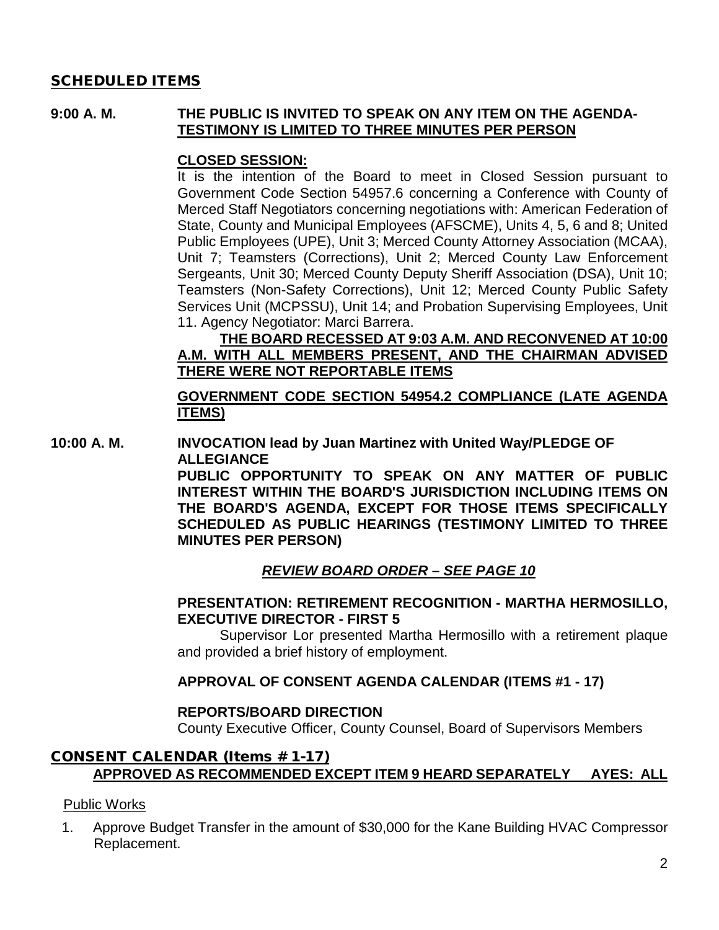### SCHEDULED ITEMS

#### **9:00 A. M. THE PUBLIC IS INVITED TO SPEAK ON ANY ITEM ON THE AGENDA-TESTIMONY IS LIMITED TO THREE MINUTES PER PERSON**

#### **CLOSED SESSION:**

It is the intention of the Board to meet in Closed Session pursuant to Government Code Section 54957.6 concerning a Conference with County of Merced Staff Negotiators concerning negotiations with: American Federation of State, County and Municipal Employees (AFSCME), Units 4, 5, 6 and 8; United Public Employees (UPE), Unit 3; Merced County Attorney Association (MCAA), Unit 7; Teamsters (Corrections), Unit 2; Merced County Law Enforcement Sergeants, Unit 30; Merced County Deputy Sheriff Association (DSA), Unit 10; Teamsters (Non-Safety Corrections), Unit 12; Merced County Public Safety Services Unit (MCPSSU), Unit 14; and Probation Supervising Employees, Unit 11. Agency Negotiator: Marci Barrera.

### **THE BOARD RECESSED AT 9:03 A.M. AND RECONVENED AT 10:00 A.M. WITH ALL MEMBERS PRESENT, AND THE CHAIRMAN ADVISED THERE WERE NOT REPORTABLE ITEMS**

### **GOVERNMENT CODE SECTION 54954.2 COMPLIANCE (LATE AGENDA ITEMS)**

**10:00 A. M. INVOCATION lead by Juan Martinez with United Way/PLEDGE OF ALLEGIANCE**

> **PUBLIC OPPORTUNITY TO SPEAK ON ANY MATTER OF PUBLIC INTEREST WITHIN THE BOARD'S JURISDICTION INCLUDING ITEMS ON THE BOARD'S AGENDA, EXCEPT FOR THOSE ITEMS SPECIFICALLY SCHEDULED AS PUBLIC HEARINGS (TESTIMONY LIMITED TO THREE MINUTES PER PERSON)**

### *REVIEW BOARD ORDER – SEE PAGE 10*

#### **PRESENTATION: RETIREMENT RECOGNITION - MARTHA HERMOSILLO, EXECUTIVE DIRECTOR - FIRST 5**

Supervisor Lor presented Martha Hermosillo with a retirement plaque and provided a brief history of employment.

#### **APPROVAL OF CONSENT AGENDA CALENDAR (ITEMS #1 - 17)**

#### **REPORTS/BOARD DIRECTION**

County Executive Officer, County Counsel, Board of Supervisors Members

### CONSENT CALENDAR (Items # 1-17) **APPROVED AS RECOMMENDED EXCEPT ITEM 9 HEARD SEPARATELY AYES: ALL**

#### Public Works

1. Approve Budget Transfer in the amount of \$30,000 for the Kane Building HVAC Compressor Replacement.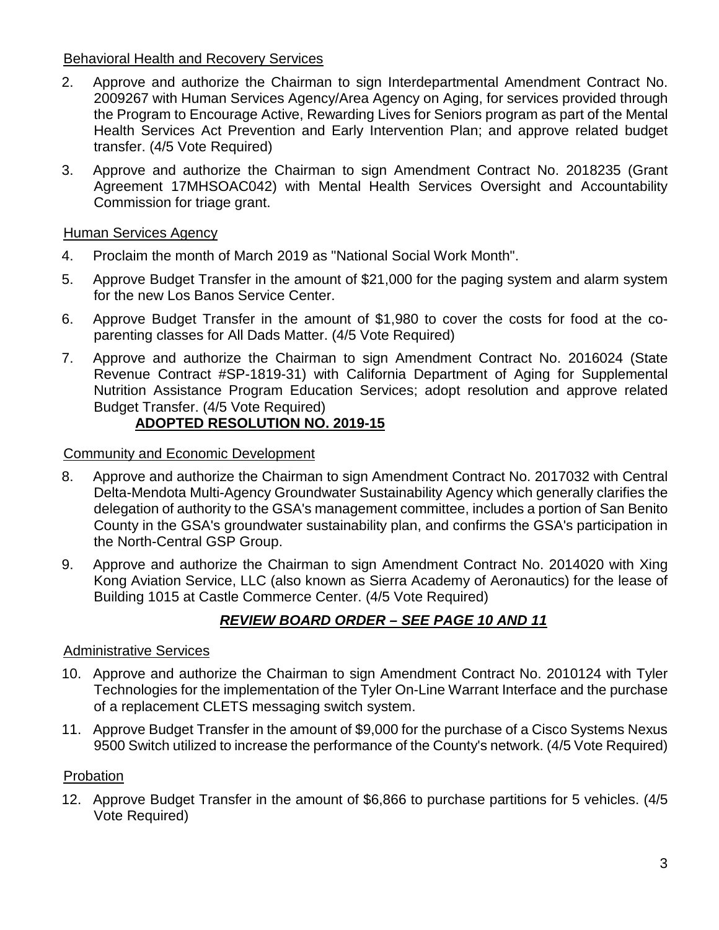### Behavioral Health and Recovery Services

- 2. Approve and authorize the Chairman to sign Interdepartmental Amendment Contract No. 2009267 with Human Services Agency/Area Agency on Aging, for services provided through the Program to Encourage Active, Rewarding Lives for Seniors program as part of the Mental Health Services Act Prevention and Early Intervention Plan; and approve related budget transfer. (4/5 Vote Required)
- 3. Approve and authorize the Chairman to sign Amendment Contract No. 2018235 (Grant Agreement 17MHSOAC042) with Mental Health Services Oversight and Accountability Commission for triage grant.

### Human Services Agency

- 4. Proclaim the month of March 2019 as "National Social Work Month".
- 5. Approve Budget Transfer in the amount of \$21,000 for the paging system and alarm system for the new Los Banos Service Center.
- 6. Approve Budget Transfer in the amount of \$1,980 to cover the costs for food at the coparenting classes for All Dads Matter. (4/5 Vote Required)
- 7. Approve and authorize the Chairman to sign Amendment Contract No. 2016024 (State Revenue Contract #SP-1819-31) with California Department of Aging for Supplemental Nutrition Assistance Program Education Services; adopt resolution and approve related Budget Transfer. (4/5 Vote Required)

### **ADOPTED RESOLUTION NO. 2019-15**

### Community and Economic Development

- 8. Approve and authorize the Chairman to sign Amendment Contract No. 2017032 with Central Delta-Mendota Multi-Agency Groundwater Sustainability Agency which generally clarifies the delegation of authority to the GSA's management committee, includes a portion of San Benito County in the GSA's groundwater sustainability plan, and confirms the GSA's participation in the North-Central GSP Group.
- 9. Approve and authorize the Chairman to sign Amendment Contract No. 2014020 with Xing Kong Aviation Service, LLC (also known as Sierra Academy of Aeronautics) for the lease of Building 1015 at Castle Commerce Center. (4/5 Vote Required)

## *REVIEW BOARD ORDER – SEE PAGE 10 AND 11*

#### Administrative Services

- 10. Approve and authorize the Chairman to sign Amendment Contract No. 2010124 with Tyler Technologies for the implementation of the Tyler On-Line Warrant Interface and the purchase of a replacement CLETS messaging switch system.
- 11. Approve Budget Transfer in the amount of \$9,000 for the purchase of a Cisco Systems Nexus 9500 Switch utilized to increase the performance of the County's network. (4/5 Vote Required)

#### Probation

12. Approve Budget Transfer in the amount of \$6,866 to purchase partitions for 5 vehicles. (4/5 Vote Required)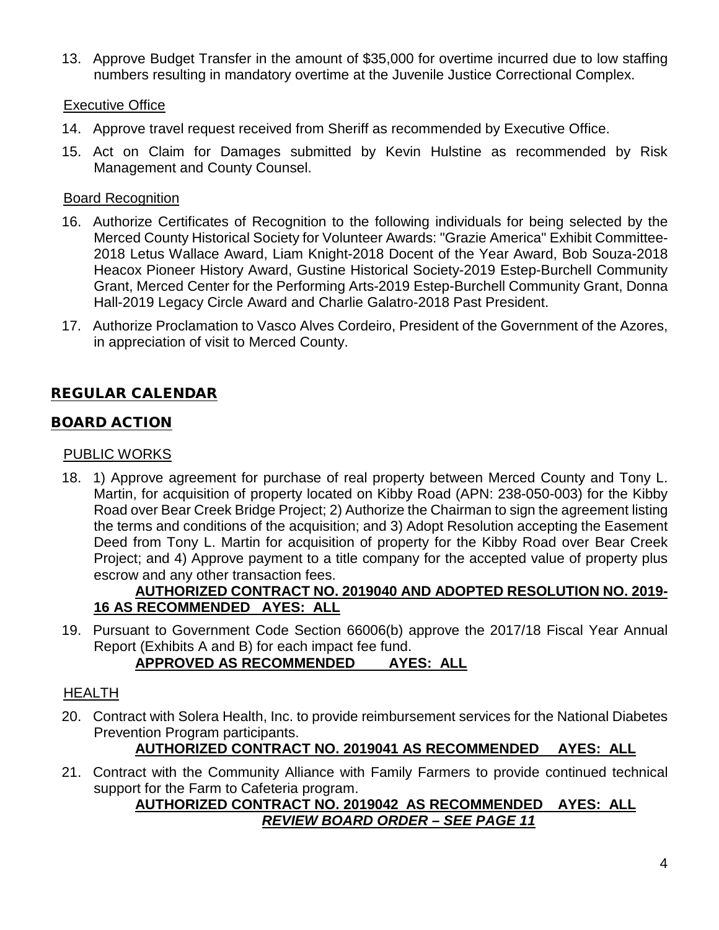13. Approve Budget Transfer in the amount of \$35,000 for overtime incurred due to low staffing numbers resulting in mandatory overtime at the Juvenile Justice Correctional Complex.

### Executive Office

- 14. Approve travel request received from Sheriff as recommended by Executive Office.
- 15. Act on Claim for Damages submitted by Kevin Hulstine as recommended by Risk Management and County Counsel.

### Board Recognition

- 16. Authorize Certificates of Recognition to the following individuals for being selected by the Merced County Historical Society for Volunteer Awards: "Grazie America" Exhibit Committee-2018 Letus Wallace Award, Liam Knight-2018 Docent of the Year Award, Bob Souza-2018 Heacox Pioneer History Award, Gustine Historical Society-2019 Estep-Burchell Community Grant, Merced Center for the Performing Arts-2019 Estep-Burchell Community Grant, Donna Hall-2019 Legacy Circle Award and Charlie Galatro-2018 Past President.
- 17. Authorize Proclamation to Vasco Alves Cordeiro, President of the Government of the Azores, in appreciation of visit to Merced County.

# REGULAR CALENDAR

### BOARD ACTION

### PUBLIC WORKS

18. 1) Approve agreement for purchase of real property between Merced County and Tony L. Martin, for acquisition of property located on Kibby Road (APN: 238-050-003) for the Kibby Road over Bear Creek Bridge Project; 2) Authorize the Chairman to sign the agreement listing the terms and conditions of the acquisition; and 3) Adopt Resolution accepting the Easement Deed from Tony L. Martin for acquisition of property for the Kibby Road over Bear Creek Project; and 4) Approve payment to a title company for the accepted value of property plus escrow and any other transaction fees.

### **AUTHORIZED CONTRACT NO. 2019040 AND ADOPTED RESOLUTION NO. 2019- 16 AS RECOMMENDED AYES: ALL**

19. Pursuant to Government Code Section 66006(b) approve the 2017/18 Fiscal Year Annual Report (Exhibits A and B) for each impact fee fund.

## **APPROVED AS RECOMMENDED AYES: ALL**

### HEALTH

20. Contract with Solera Health, Inc. to provide reimbursement services for the National Diabetes Prevention Program participants.

### **AUTHORIZED CONTRACT NO. 2019041 AS RECOMMENDED AYES: ALL**

21. Contract with the Community Alliance with Family Farmers to provide continued technical support for the Farm to Cafeteria program.

### **AUTHORIZED CONTRACT NO. 2019042 AS RECOMMENDED AYES: ALL** *REVIEW BOARD ORDER – SEE PAGE 11*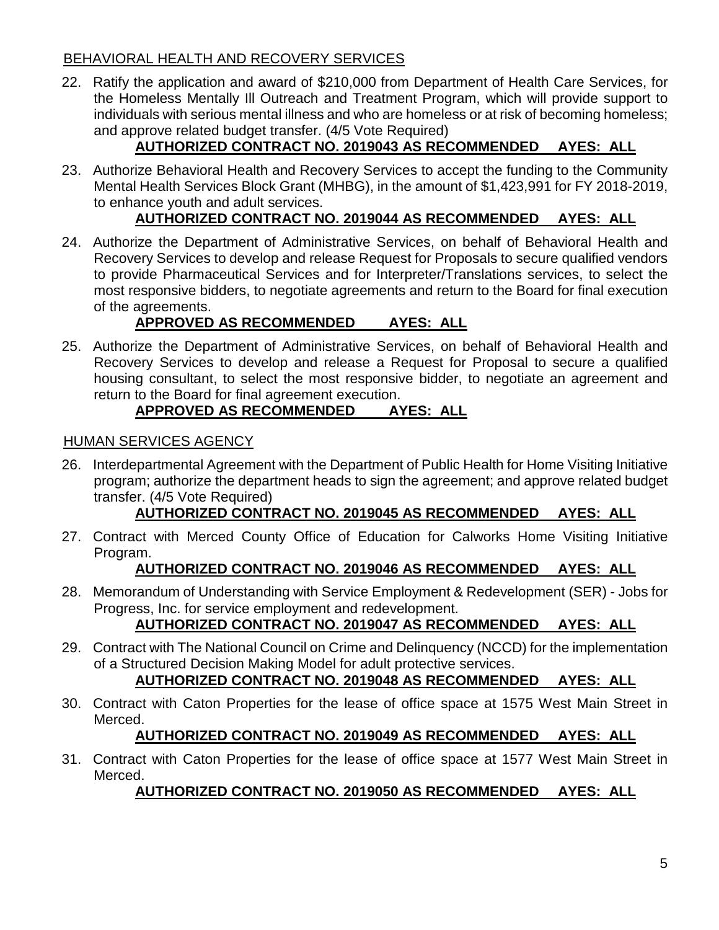### BEHAVIORAL HEALTH AND RECOVERY SERVICES

22. Ratify the application and award of \$210,000 from Department of Health Care Services, for the Homeless Mentally Ill Outreach and Treatment Program, which will provide support to individuals with serious mental illness and who are homeless or at risk of becoming homeless; and approve related budget transfer. (4/5 Vote Required)

# **AUTHORIZED CONTRACT NO. 2019043 AS RECOMMENDED AYES: ALL**

23. Authorize Behavioral Health and Recovery Services to accept the funding to the Community Mental Health Services Block Grant (MHBG), in the amount of \$1,423,991 for FY 2018-2019, to enhance youth and adult services.

## **AUTHORIZED CONTRACT NO. 2019044 AS RECOMMENDED AYES: ALL**

24. Authorize the Department of Administrative Services, on behalf of Behavioral Health and Recovery Services to develop and release Request for Proposals to secure qualified vendors to provide Pharmaceutical Services and for Interpreter/Translations services, to select the most responsive bidders, to negotiate agreements and return to the Board for final execution of the agreements.

# **APPROVED AS RECOMMENDED AYES: ALL**

25. Authorize the Department of Administrative Services, on behalf of Behavioral Health and Recovery Services to develop and release a Request for Proposal to secure a qualified housing consultant, to select the most responsive bidder, to negotiate an agreement and return to the Board for final agreement execution.

# **APPROVED AS RECOMMENDED AYES: ALL**

### HUMAN SERVICES AGENCY

26. Interdepartmental Agreement with the Department of Public Health for Home Visiting Initiative program; authorize the department heads to sign the agreement; and approve related budget transfer. (4/5 Vote Required)

## **AUTHORIZED CONTRACT NO. 2019045 AS RECOMMENDED AYES: ALL**

27. Contract with Merced County Office of Education for Calworks Home Visiting Initiative Program.

### **AUTHORIZED CONTRACT NO. 2019046 AS RECOMMENDED AYES: ALL**

28. Memorandum of Understanding with Service Employment & Redevelopment (SER) - Jobs for Progress, Inc. for service employment and redevelopment.

# **AUTHORIZED CONTRACT NO. 2019047 AS RECOMMENDED AYES: ALL**

29. Contract with The National Council on Crime and Delinquency (NCCD) for the implementation of a Structured Decision Making Model for adult protective services.

### **AUTHORIZED CONTRACT NO. 2019048 AS RECOMMENDED AYES: ALL**

30. Contract with Caton Properties for the lease of office space at 1575 West Main Street in Merced.

## **AUTHORIZED CONTRACT NO. 2019049 AS RECOMMENDED AYES: ALL**

31. Contract with Caton Properties for the lease of office space at 1577 West Main Street in Merced.

## **AUTHORIZED CONTRACT NO. 2019050 AS RECOMMENDED AYES: ALL**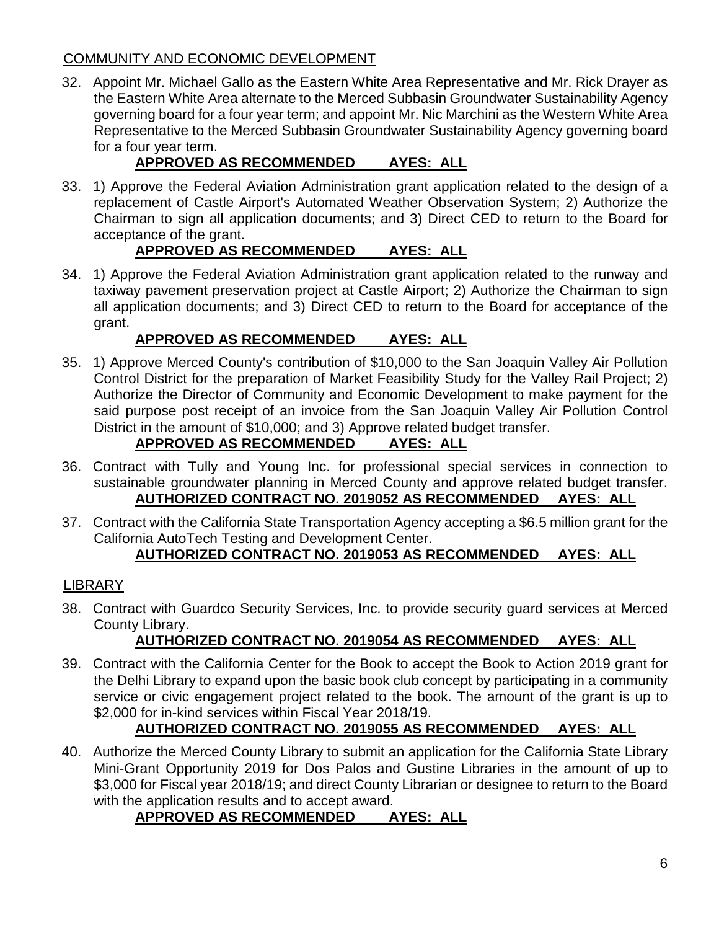### COMMUNITY AND ECONOMIC DEVELOPMENT

32. Appoint Mr. Michael Gallo as the Eastern White Area Representative and Mr. Rick Drayer as the Eastern White Area alternate to the Merced Subbasin Groundwater Sustainability Agency governing board for a four year term; and appoint Mr. Nic Marchini as the Western White Area Representative to the Merced Subbasin Groundwater Sustainability Agency governing board for a four year term.

# **APPROVED AS RECOMMENDED AYES: ALL**

33. 1) Approve the Federal Aviation Administration grant application related to the design of a replacement of Castle Airport's Automated Weather Observation System; 2) Authorize the Chairman to sign all application documents; and 3) Direct CED to return to the Board for acceptance of the grant.

## **APPROVED AS RECOMMENDED AYES: ALL**

34. 1) Approve the Federal Aviation Administration grant application related to the runway and taxiway pavement preservation project at Castle Airport; 2) Authorize the Chairman to sign all application documents; and 3) Direct CED to return to the Board for acceptance of the grant.

## **APPROVED AS RECOMMENDED AYES: ALL**

35. 1) Approve Merced County's contribution of \$10,000 to the San Joaquin Valley Air Pollution Control District for the preparation of Market Feasibility Study for the Valley Rail Project; 2) Authorize the Director of Community and Economic Development to make payment for the said purpose post receipt of an invoice from the San Joaquin Valley Air Pollution Control District in the amount of \$10,000; and 3) Approve related budget transfer.

# **APPROVED AS RECOMMENDED AYES: ALL**

- 36. Contract with Tully and Young Inc. for professional special services in connection to sustainable groundwater planning in Merced County and approve related budget transfer. **AUTHORIZED CONTRACT NO. 2019052 AS RECOMMENDED AYES: ALL**
- 37. Contract with the California State Transportation Agency accepting a \$6.5 million grant for the California AutoTech Testing and Development Center.

# **AUTHORIZED CONTRACT NO. 2019053 AS RECOMMENDED AYES: ALL**

## LIBRARY

38. Contract with Guardco Security Services, Inc. to provide security guard services at Merced County Library.

# **AUTHORIZED CONTRACT NO. 2019054 AS RECOMMENDED AYES: ALL**

39. Contract with the California Center for the Book to accept the Book to Action 2019 grant for the Delhi Library to expand upon the basic book club concept by participating in a community service or civic engagement project related to the book. The amount of the grant is up to \$2,000 for in-kind services within Fiscal Year 2018/19.

# **AUTHORIZED CONTRACT NO. 2019055 AS RECOMMENDED AYES: ALL**

40. Authorize the Merced County Library to submit an application for the California State Library Mini-Grant Opportunity 2019 for Dos Palos and Gustine Libraries in the amount of up to \$3,000 for Fiscal year 2018/19; and direct County Librarian or designee to return to the Board with the application results and to accept award.

# **APPROVED AS RECOMMENDED AYES: ALL**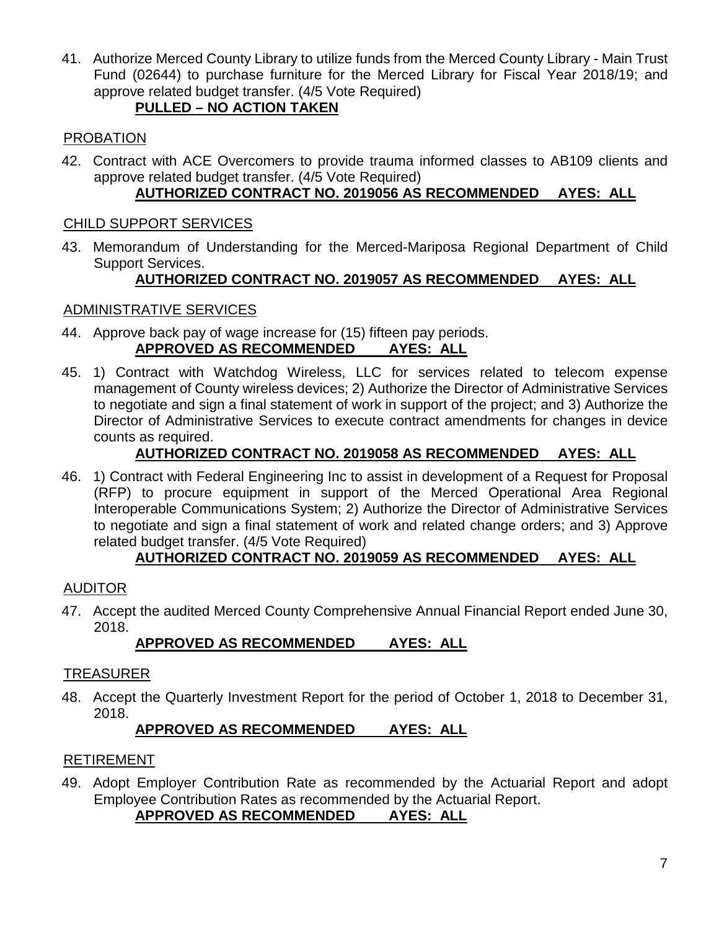41. Authorize Merced County Library to utilize funds from the Merced County Library - Main Trust Fund (02644) to purchase furniture for the Merced Library for Fiscal Year 2018/19; and approve related budget transfer. (4/5 Vote Required)

### **PULLED – NO ACTION TAKEN**

### PROBATION

42. Contract with ACE Overcomers to provide trauma informed classes to AB109 clients and approve related budget transfer. (4/5 Vote Required)

## **AUTHORIZED CONTRACT NO. 2019056 AS RECOMMENDED AYES: ALL**

### CHILD SUPPORT SERVICES

43. Memorandum of Understanding for the Merced-Mariposa Regional Department of Child Support Services.

## **AUTHORIZED CONTRACT NO. 2019057 AS RECOMMENDED AYES: ALL**

### ADMINISTRATIVE SERVICES

- 44. Approve back pay of wage increase for (15) fifteen pay periods. **APPROVED AS RECOMMENDED AYES: ALL**
- 45. 1) Contract with Watchdog Wireless, LLC for services related to telecom expense management of County wireless devices; 2) Authorize the Director of Administrative Services to negotiate and sign a final statement of work in support of the project; and 3) Authorize the Director of Administrative Services to execute contract amendments for changes in device counts as required.

## **AUTHORIZED CONTRACT NO. 2019058 AS RECOMMENDED AYES: ALL**

46. 1) Contract with Federal Engineering Inc to assist in development of a Request for Proposal (RFP) to procure equipment in support of the Merced Operational Area Regional Interoperable Communications System; 2) Authorize the Director of Administrative Services to negotiate and sign a final statement of work and related change orders; and 3) Approve related budget transfer. (4/5 Vote Required)

## **AUTHORIZED CONTRACT NO. 2019059 AS RECOMMENDED AYES: ALL**

### AUDITOR

47. Accept the audited Merced County Comprehensive Annual Financial Report ended June 30, 2018.

## **APPROVED AS RECOMMENDED AYES: ALL**

### TREASURER

48. Accept the Quarterly Investment Report for the period of October 1, 2018 to December 31, 2018.

## **APPROVED AS RECOMMENDED AYES: ALL**

### RETIREMENT

49. Adopt Employer Contribution Rate as recommended by the Actuarial Report and adopt Employee Contribution Rates as recommended by the Actuarial Report.

### **APPROVED AS RECOMMENDED AYES: ALL**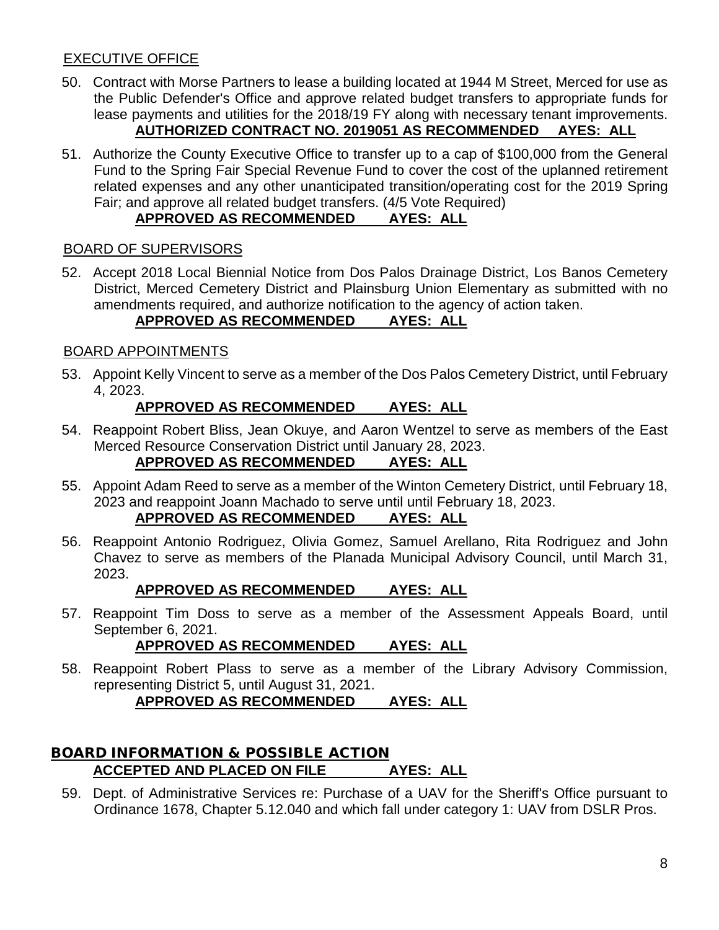### EXECUTIVE OFFICE

- 50. Contract with Morse Partners to lease a building located at 1944 M Street, Merced for use as the Public Defender's Office and approve related budget transfers to appropriate funds for lease payments and utilities for the 2018/19 FY along with necessary tenant improvements. **AUTHORIZED CONTRACT NO. 2019051 AS RECOMMENDED AYES: ALL**
- 51. Authorize the County Executive Office to transfer up to a cap of \$100,000 from the General Fund to the Spring Fair Special Revenue Fund to cover the cost of the uplanned retirement related expenses and any other unanticipated transition/operating cost for the 2019 Spring Fair; and approve all related budget transfers. (4/5 Vote Required)

### **APPROVED AS RECOMMENDED AYES: ALL**

#### BOARD OF SUPERVISORS

52. Accept 2018 Local Biennial Notice from Dos Palos Drainage District, Los Banos Cemetery District, Merced Cemetery District and Plainsburg Union Elementary as submitted with no amendments required, and authorize notification to the agency of action taken.

### **APPROVED AS RECOMMENDED AYES: ALL**

#### BOARD APPOINTMENTS

53. Appoint Kelly Vincent to serve as a member of the Dos Palos Cemetery District, until February 4, 2023.

#### **APPROVED AS RECOMMENDED AYES: ALL**

54. Reappoint Robert Bliss, Jean Okuye, and Aaron Wentzel to serve as members of the East Merced Resource Conservation District until January 28, 2023.

### **APPROVED AS RECOMMENDED AYES: ALL**

55. Appoint Adam Reed to serve as a member of the Winton Cemetery District, until February 18, 2023 and reappoint Joann Machado to serve until until February 18, 2023.

#### **APPROVED AS RECOMMENDED AYES: ALL**

56. Reappoint Antonio Rodriguez, Olivia Gomez, Samuel Arellano, Rita Rodriguez and John Chavez to serve as members of the Planada Municipal Advisory Council, until March 31, 2023.

#### **APPROVED AS RECOMMENDED AYES: ALL**

57. Reappoint Tim Doss to serve as a member of the Assessment Appeals Board, until September 6, 2021.

#### **APPROVED AS RECOMMENDED AYES: ALL**

58. Reappoint Robert Plass to serve as a member of the Library Advisory Commission, representing District 5, until August 31, 2021. **APPROVED AS RECOMMENDED AYES: ALL**

### BOARD INFORMATION & POSSIBLE ACTION **ACCEPTED AND PLACED ON FILE AYES: ALL**

59. Dept. of Administrative Services re: Purchase of a UAV for the Sheriff's Office pursuant to Ordinance 1678, Chapter 5.12.040 and which fall under category 1: UAV from DSLR Pros.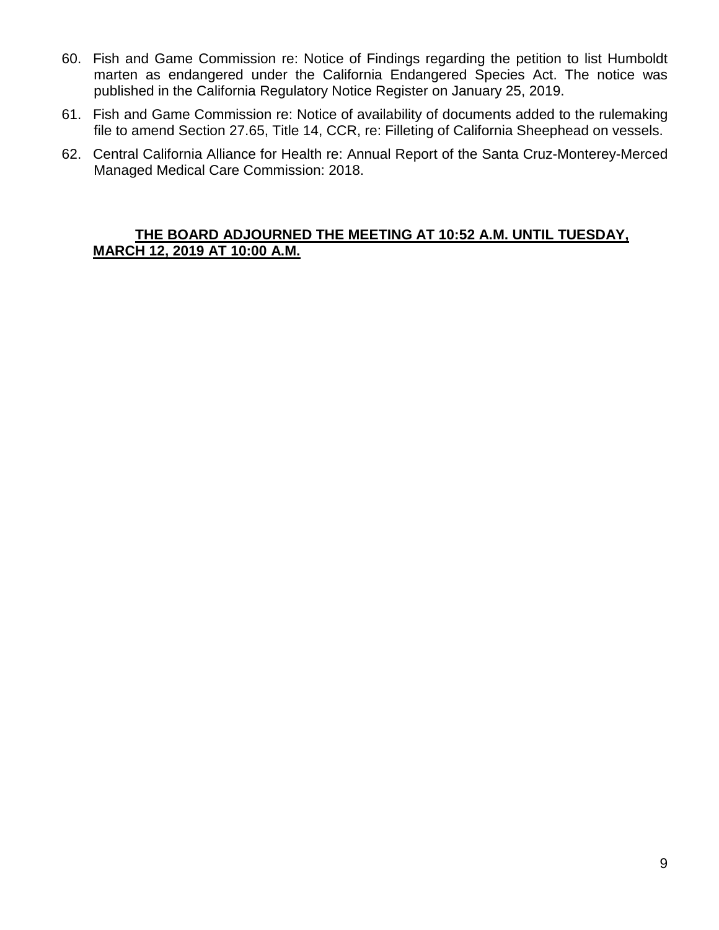- 60. Fish and Game Commission re: Notice of Findings regarding the petition to list Humboldt marten as endangered under the California Endangered Species Act. The notice was published in the California Regulatory Notice Register on January 25, 2019.
- 61. Fish and Game Commission re: Notice of availability of documents added to the rulemaking file to amend Section 27.65, Title 14, CCR, re: Filleting of California Sheephead on vessels.
- 62. Central California Alliance for Health re: Annual Report of the Santa Cruz-Monterey-Merced Managed Medical Care Commission: 2018.

#### **THE BOARD ADJOURNED THE MEETING AT 10:52 A.M. UNTIL TUESDAY, MARCH 12, 2019 AT 10:00 A.M.**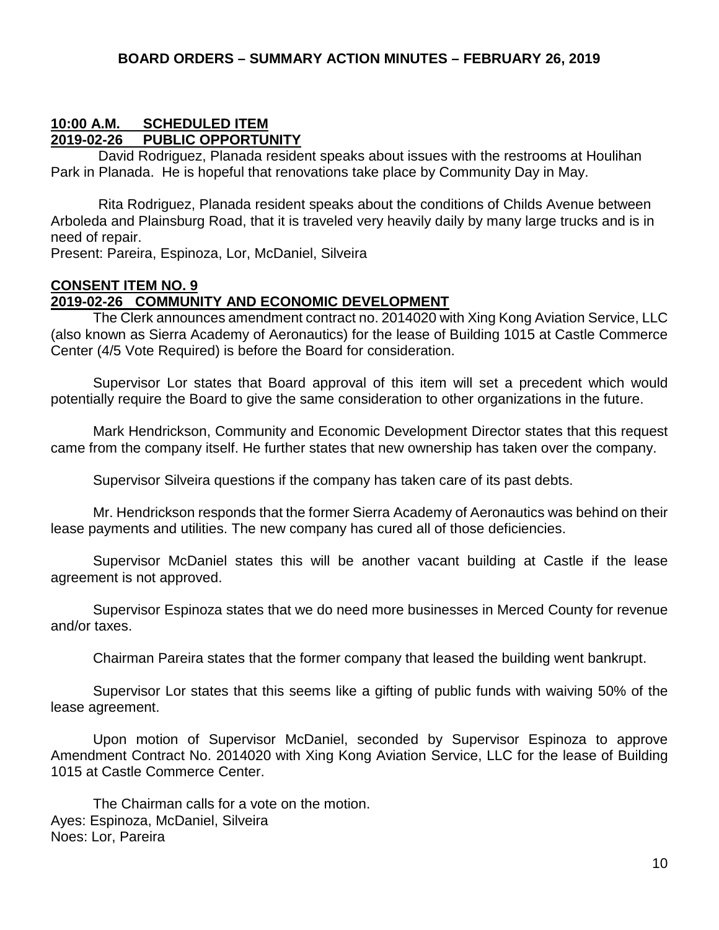#### **10:00 A.M. SCHEDULED ITEM 2019-02-26 PUBLIC OPPORTUNITY**

David Rodriguez, Planada resident speaks about issues with the restrooms at Houlihan Park in Planada. He is hopeful that renovations take place by Community Day in May.

Rita Rodriguez, Planada resident speaks about the conditions of Childs Avenue between Arboleda and Plainsburg Road, that it is traveled very heavily daily by many large trucks and is in need of repair.

Present: Pareira, Espinoza, Lor, McDaniel, Silveira

## **CONSENT ITEM NO. 9**

#### **2019-02-26 COMMUNITY AND ECONOMIC DEVELOPMENT**

The Clerk announces amendment contract no. 2014020 with Xing Kong Aviation Service, LLC (also known as Sierra Academy of Aeronautics) for the lease of Building 1015 at Castle Commerce Center (4/5 Vote Required) is before the Board for consideration.

Supervisor Lor states that Board approval of this item will set a precedent which would potentially require the Board to give the same consideration to other organizations in the future.

Mark Hendrickson, Community and Economic Development Director states that this request came from the company itself. He further states that new ownership has taken over the company.

Supervisor Silveira questions if the company has taken care of its past debts.

Mr. Hendrickson responds that the former Sierra Academy of Aeronautics was behind on their lease payments and utilities. The new company has cured all of those deficiencies.

Supervisor McDaniel states this will be another vacant building at Castle if the lease agreement is not approved.

Supervisor Espinoza states that we do need more businesses in Merced County for revenue and/or taxes.

Chairman Pareira states that the former company that leased the building went bankrupt.

Supervisor Lor states that this seems like a gifting of public funds with waiving 50% of the lease agreement.

Upon motion of Supervisor McDaniel, seconded by Supervisor Espinoza to approve Amendment Contract No. 2014020 with Xing Kong Aviation Service, LLC for the lease of Building 1015 at Castle Commerce Center.

The Chairman calls for a vote on the motion. Ayes: Espinoza, McDaniel, Silveira Noes: Lor, Pareira